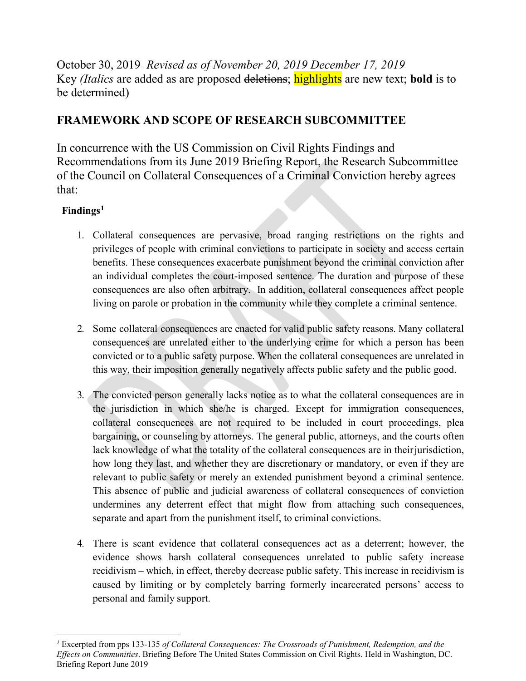October 30, 2019 *Revised as of November 20, 2019 December 17, 2019* Key *(Italics* are added as are proposed deletions; highlights are new text; **bold** is to be determined)

## **FRAMEWORK AND SCOPE OF RESEARCH SUBCOMMITTEE**

In concurrence with the US Commission on Civil Rights Findings and Recommendations from its June 2019 Briefing Report, the Research Subcommittee of the Council on Collateral Consequences of a Criminal Conviction hereby agrees that:

## **Findings[1](#page-0-0)**

- 1. Collateral consequences are pervasive, broad ranging restrictions on the rights and privileges of people with criminal convictions to participate in society and access certain benefits. These consequences exacerbate punishment beyond the criminal conviction after an individual completes the court-imposed sentence. The duration and purpose of these consequences are also often arbitrary.In addition, collateral consequences affect people living on parole or probation in the community while they complete a criminal sentence.
- 2. Some collateral consequences are enacted for valid public safety reasons. Many collateral consequences are unrelated either to the underlying crime for which a person has been convicted or to a public safety purpose. When the collateral consequences are unrelated in this way, their imposition generally negatively affects public safety and the public good.
- 3. The convicted person generally lacks notice as to what the collateral consequences are in the jurisdiction in which she/he is charged. Except for immigration consequences, collateral consequences are not required to be included in court proceedings, plea bargaining, or counseling by attorneys. The general public, attorneys, and the courts often lack knowledge of what the totality of the collateral consequences are in their jurisdiction, how long they last, and whether they are discretionary or mandatory, or even if they are relevant to public safety or merely an extended punishment beyond a criminal sentence. This absence of public and judicial awareness of collateral consequences of conviction undermines any deterrent effect that might flow from attaching such consequences, separate and apart from the punishment itself, to criminal convictions.
- 4. There is scant evidence that collateral consequences act as a deterrent; however, the evidence shows harsh collateral consequences unrelated to public safety increase recidivism *–* which, in effect, thereby decrease public safety. This increase in recidivism is caused by limiting or by completely barring formerly incarcerated persons' access to personal and family support.

<span id="page-0-0"></span> $\overline{a}$ *<sup>1</sup>* Excerpted from pps 133-135 *of Collateral Consequences: The Crossroads of Punishment, Redemption, and the Effects on Communities*. Briefing Before The United States Commission on Civil Rights. Held in Washington, DC. Briefing Report June 2019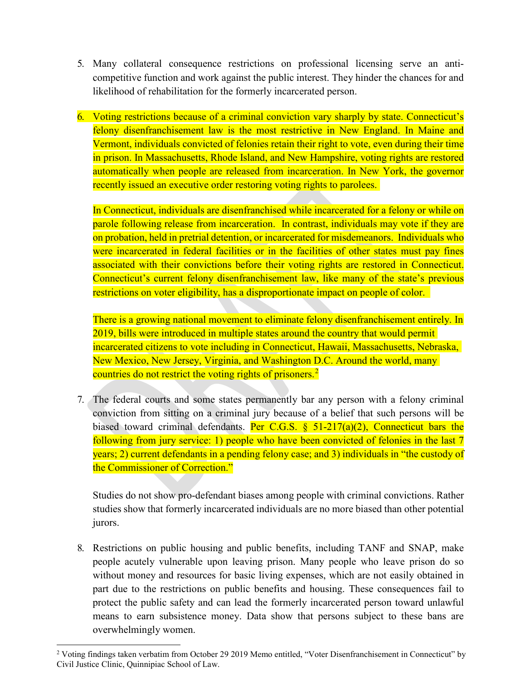- 5. Many collateral consequence restrictions on professional licensing serve an anticompetitive function and work against the public interest. They hinder the chances for and likelihood of rehabilitation for the formerly incarcerated person.
- 6. Voting restrictions because of a criminal conviction vary sharply by state. Connecticut's felony disenfranchisement law is the most restrictive in New England. In Maine and Vermont, individuals convicted of felonies retain their right to vote, even during their time in prison. In Massachusetts, Rhode Island, and New Hampshire, voting rights are restored automatically when people are released from incarceration. In New York, the governor recently issued an executive order restoring voting rights to parolees.

In Connecticut, individuals are disenfranchised while incarcerated for a felony or while on parole following release from incarceration. In contrast, individuals may vote if they are on probation, held in pretrial detention, or incarcerated for misdemeanors. Individuals who were incarcerated in federal facilities or in the facilities of other states must pay fines associated with their convictions before their voting rights are restored in Connecticut. Connecticut's current felony disenfranchisement law, like many of the state's previous restrictions on voter eligibility, has a disproportionate impact on people of color.

There is a growing national movement to eliminate felony disenfranchisement entirely. In 2019, bills were introduced in multiple states around the country that would permit incarcerated citizens to vote including in Connecticut, Hawaii, Massachusetts, Nebraska, New Mexico, New Jersey, Virginia, and Washington D.C. Around the world, many countries do not restrict the voting rights of prisoners.<sup>[2](#page-1-0)</sup>

7. The federal courts and some states permanently bar any person with a felony criminal conviction from sitting on a criminal jury because of a belief that such persons will be biased toward criminal defendants. Per C.G.S.  $\frac{1}{5}$  51-217(a)(2), Connecticut bars the following from jury service: 1) people who have been convicted of felonies in the last 7 years; 2) current defendants in a pending felony case; and 3) individuals in "the custody of the Commissioner of Correction."

Studies do not show pro-defendant biases among people with criminal convictions. Rather studies show that formerly incarcerated individuals are no more biased than other potential jurors.

8. Restrictions on public housing and public benefits, including TANF and SNAP, make people acutely vulnerable upon leaving prison. Many people who leave prison do so without money and resources for basic living expenses, which are not easily obtained in part due to the restrictions on public benefits and housing. These consequences fail to protect the public safety and can lead the formerly incarcerated person toward unlawful means to earn subsistence money. Data show that persons subject to these bans are overwhelmingly women.

<span id="page-1-0"></span><sup>&</sup>lt;sup>2</sup> Voting findings taken verbatim from October 29 2019 Memo entitled, "Voter Disenfranchisement in Connecticut" by Civil Justice Clinic, Quinnipiac School of Law.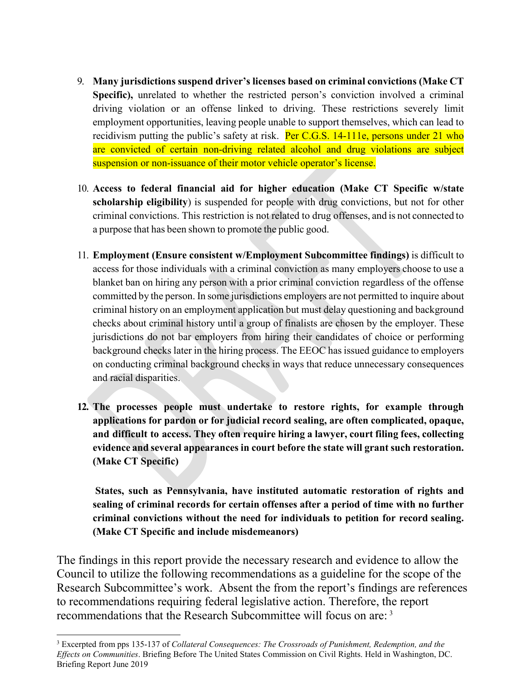- 9. **Many jurisdictions suspend driver's licenses based on criminal convictions (Make CT Specific),** unrelated to whether the restricted person's conviction involved a criminal driving violation or an offense linked to driving. These restrictions severely limit employment opportunities, leaving people unable to support themselves, which can lead to recidivism putting the public's safety at risk. Per C.G.S.  $14-111e$ , persons under 21 who are convicted of certain non-driving related alcohol and drug violations are subject suspension or non-issuance of their motor vehicle operator's license.
- 10. **Access to federal financial aid for higher education (Make CT Specific w/state scholarship eligibility**) is suspended for people with drug convictions, but not for other criminal convictions. This restriction is not related to drug offenses, and is not connected to a purpose that has been shown to promote the public good.
- 11. **Employment (Ensure consistent w/Employment Subcommittee findings)** is difficult to access for those individuals with a criminal conviction as many employers choose to use a blanket ban on hiring any person with a prior criminal conviction regardless of the offense committed by the person. In some jurisdictions employers are not permitted to inquire about criminal history on an employment application but must delay questioning and background checks about criminal history until a group of finalists are chosen by the employer. These jurisdictions do not bar employers from hiring their candidates of choice or performing background checks later in the hiring process. The EEOC has issued guidance to employers on conducting criminal background checks in ways that reduce unnecessary consequences and racial disparities.
- **12. The processes people must undertake to restore rights, for example through applications for pardon or for judicial record sealing, are often complicated, opaque, and difficult to access. They often require hiring a lawyer, court filing fees, collecting evidence and several appearances in court before the state will grant such restoration. (Make CT Specific)**

**States, such as Pennsylvania, have instituted automatic restoration of rights and sealing of criminal records for certain offenses after a period of time with no further criminal convictions without the need for individuals to petition for record sealing. (Make CT Specific and include misdemeanors)**

The findings in this report provide the necessary research and evidence to allow the Council to utilize the following recommendations as a guideline for the scope of the Research Subcommittee's work. Absent the from the report's findings are references to recommendations requiring federal legislative action. Therefore, the report recommendations that the Research Subcommittee will focus on are: [3](#page-2-0)

<span id="page-2-0"></span> <sup>3</sup> Excerpted from pps 135-137 of *Collateral Consequences: The Crossroads of Punishment, Redemption, and the Effects on Communities*. Briefing Before The United States Commission on Civil Rights. Held in Washington, DC. Briefing Report June 2019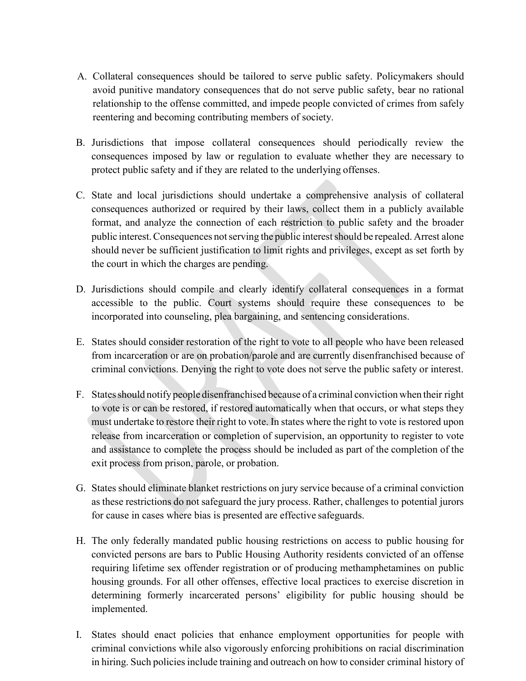- A. Collateral consequences should be tailored to serve public safety. Policymakers should avoid punitive mandatory consequences that do not serve public safety, bear no rational relationship to the offense committed, and impede people convicted of crimes from safely reentering and becoming contributing members of society.
- B. Jurisdictions that impose collateral consequences should periodically review the consequences imposed by law or regulation to evaluate whether they are necessary to protect public safety and if they are related to the underlying offenses.
- C. State and local jurisdictions should undertake a comprehensive analysis of collateral consequences authorized or required by their laws, collect them in a publicly available format, and analyze the connection of each restriction to public safety and the broader public interest. Consequences not serving the public interest should be repealed. Arrest alone should never be sufficient justification to limit rights and privileges, except as set forth by the court in which the charges are pending.
- D. Jurisdictions should compile and clearly identify collateral consequences in a format accessible to the public. Court systems should require these consequences to be incorporated into counseling, plea bargaining, and sentencing considerations.
- E. States should consider restoration of the right to vote to all people who have been released from incarceration or are on probation/parole and are currently disenfranchised because of criminal convictions. Denying the right to vote does not serve the public safety or interest.
- F. Statesshould notify people disenfranchised because of a criminal conviction when their right to vote is or can be restored, if restored automatically when that occurs, or what steps they must undertake to restore their right to vote. In states where the right to vote is restored upon release from incarceration or completion of supervision, an opportunity to register to vote and assistance to complete the process should be included as part of the completion of the exit process from prison, parole, or probation.
- G. States should eliminate blanket restrictions on jury service because of a criminal conviction as these restrictions do not safeguard the jury process. Rather, challenges to potential jurors for cause in cases where bias is presented are effective safeguards.
- H. The only federally mandated public housing restrictions on access to public housing for convicted persons are bars to Public Housing Authority residents convicted of an offense requiring lifetime sex offender registration or of producing methamphetamines on public housing grounds. For all other offenses, effective local practices to exercise discretion in determining formerly incarcerated persons' eligibility for public housing should be implemented.
- I. States should enact policies that enhance employment opportunities for people with criminal convictions while also vigorously enforcing prohibitions on racial discrimination in hiring. Such policies include training and outreach on how to consider criminal history of